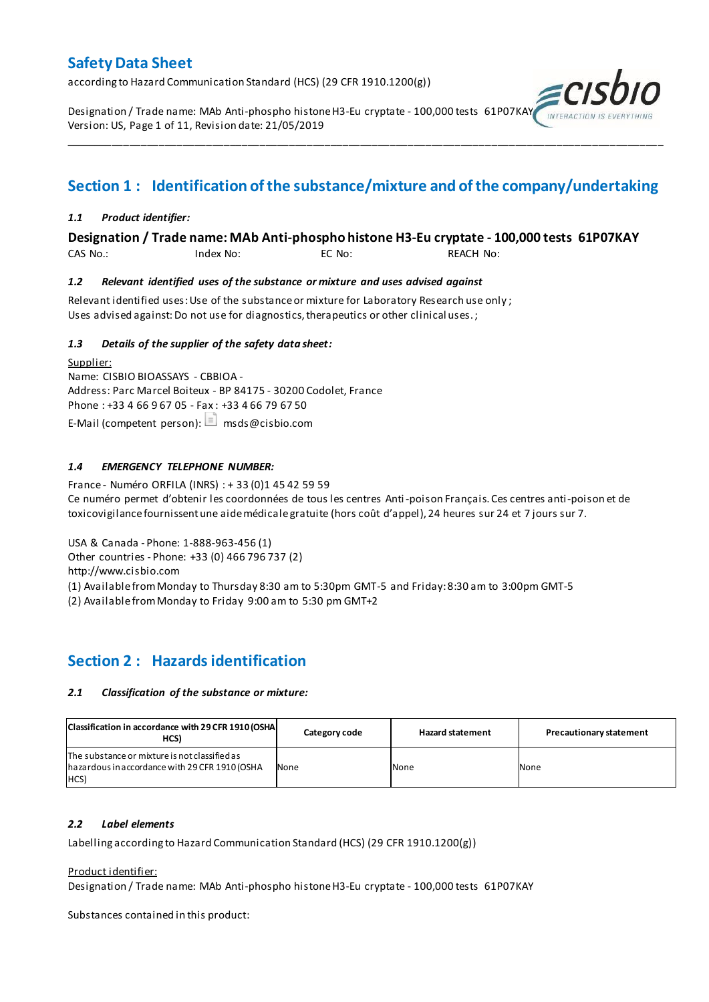according to Hazard Communication Standard (HCS) (29 CFR 1910.1200(g))

Designation / Trade name: MAb Anti-phospho histone H3-Eu cryptate - 100,000 tests 61P07KAY Version: US, Page 1 of 11, Revision date: 21/05/2019

# **Section 1 : Identification of the substance/mixture and of the company/undertaking**

\_\_\_\_\_\_\_\_\_\_\_\_\_\_\_\_\_\_\_\_\_\_\_\_\_\_\_\_\_\_\_\_\_\_\_\_\_\_\_\_\_\_\_\_\_\_\_\_\_\_\_\_\_\_\_\_\_\_\_\_\_\_\_\_\_\_\_\_\_\_\_\_\_\_\_\_\_\_\_\_\_\_\_\_\_\_\_\_\_\_\_\_\_\_\_\_\_\_\_\_\_

# *1.1 Product identifier:*

# **Designation / Trade name: MAb Anti-phospho histone H3-Eu cryptate - 100,000 tests 61P07KAY**

CAS No.: Index No: EC No: REACH No:

# *1.2 Relevant identified uses of the substance or mixture and uses advised against*

Relevant identified uses: Use of the substance or mixture for Laboratory Research use only ; Uses advised against: Do not use for diagnostics, therapeutics or other clinical uses.;

# *1.3 Details of the supplier of the safety data sheet:*

Supplier: Name: CISBIO BIOASSAYS - CBBIOA - Address: Parc Marcel Boiteux - BP 84175 - 30200 Codolet, France Phone : +33 4 66 9 67 05 - Fax : +33 4 66 79 67 50 E-Mail (competent person):  $\Box$  msds@cisbio.com

# *1.4 EMERGENCY TELEPHONE NUMBER:*

France - Numéro ORFILA (INRS) : + 33 (0)1 45 42 59 59 Ce numéro permet d'obtenir les coordonnées de tous les centres Anti-poison Français. Ces centres anti-poison et de toxicovigilance fournissent une aide médicale gratuite (hors coût d'appel), 24 heures sur 24 et 7 jours sur 7.

USA & Canada - Phone: 1-888-963-456 (1)

Other countries - Phone: +33 (0) 466 796 737 (2)

http://www.cisbio.com

(1) Available from Monday to Thursday 8:30 am to 5:30pm GMT-5 and Friday: 8:30 am to 3:00pm GMT-5

(2) Available from Monday to Friday 9:00 am to 5:30 pm GMT+2

# **Section 2 : Hazards identification**

#### *2.1 Classification of the substance or mixture:*

| Classification in accordance with 29 CFR 1910 (OSHA<br>HCS)                                             | Category code | <b>Hazard statement</b> | <b>Precautionary statement</b> |
|---------------------------------------------------------------------------------------------------------|---------------|-------------------------|--------------------------------|
| The substance or mixture is not classified as<br>hazardous in accordance with 29 CFR 1910 (OSHA<br>HCS) | None          | None                    | None                           |

#### *2.2 Label elements*

Labelling according to Hazard Communication Standard (HCS) (29 CFR 1910.1200(g))

#### Product identifier:

Designation / Trade name: MAb Anti-phospho histone H3-Eu cryptate - 100,000 tests 61P07KAY

Substances contained in this product: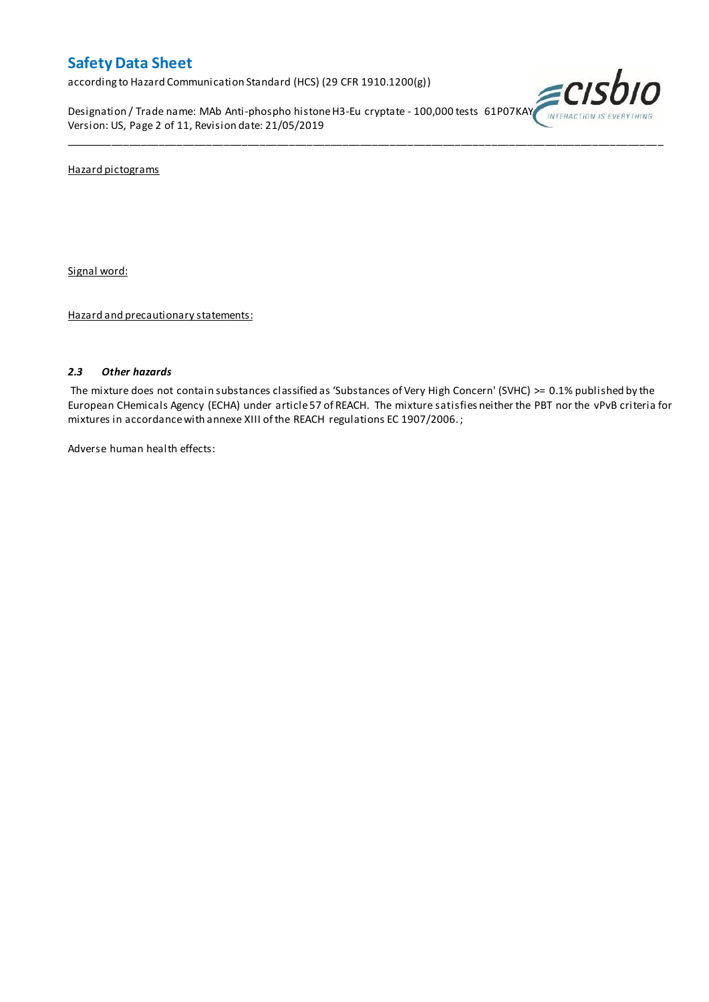according to Hazard Communication Standard (HCS) (29 CFR 1910.1200(g))

Designation / Trade name: MAb Anti-phospho histone H3-Eu cryptate - 100,000 tests 61P07KAY Version: US, Page 2 of 11, Revision date: 21/05/2019



Hazard pictograms

Signal word:

Hazard and precautionary statements:

### *2.3 Other hazards*

The mixture does not contain substances classified as 'Substances of Very High Concern' (SVHC) >= 0.1% published by the European CHemicals Agency (ECHA) under article 57 of REACH. The mixture satisfies neither the PBT nor the vPvB criteria for mixtures in accordance with annexe XIII of the REACH regulations EC 1907/2006. ;

\_\_\_\_\_\_\_\_\_\_\_\_\_\_\_\_\_\_\_\_\_\_\_\_\_\_\_\_\_\_\_\_\_\_\_\_\_\_\_\_\_\_\_\_\_\_\_\_\_\_\_\_\_\_\_\_\_\_\_\_\_\_\_\_\_\_\_\_\_\_\_\_\_\_\_\_\_\_\_\_\_\_\_\_\_\_\_\_\_\_\_\_\_\_\_\_\_\_\_\_\_

Adverse human health effects: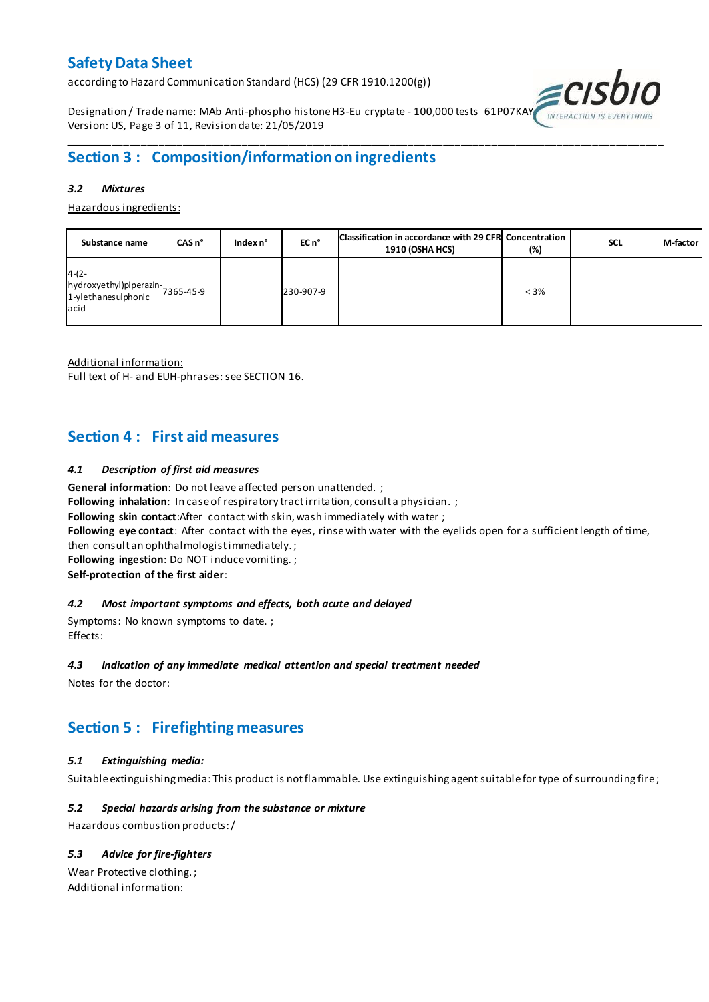according to Hazard Communication Standard (HCS) (29 CFR 1910.1200(g))

Designation / Trade name: MAb Anti-phospho histone H3-Eu cryptate - 100,000 tests 61P07KAY Version: US, Page 3 of 11, Revision date: 21/05/2019



# \_\_\_\_\_\_\_\_\_\_\_\_\_\_\_\_\_\_\_\_\_\_\_\_\_\_\_\_\_\_\_\_\_\_\_\_\_\_\_\_\_\_\_\_\_\_\_\_\_\_\_\_\_\_\_\_\_\_\_\_\_\_\_\_\_\_\_\_\_\_\_\_\_\_\_\_\_\_\_\_\_\_\_\_\_\_\_\_\_\_\_\_\_\_\_\_\_\_\_\_\_ **Section 3 : Composition/information on ingredients**

### *3.2 Mixtures*

Hazardous ingredients:

| Substance name                                                                           | $CASn^{\circ}$ | Index $n^{\circ}$ | EC n <sup>o</sup> | Classification in accordance with 29 CFR Concentration<br><b>1910 (OSHA HCS)</b> | (%)     | <b>SCL</b> | M-factor |
|------------------------------------------------------------------------------------------|----------------|-------------------|-------------------|----------------------------------------------------------------------------------|---------|------------|----------|
| $4-(2-$<br>$[hydroxyethyl]$ piperazin $\bigg  7365-45-9$<br>1-ylethanesulphonic<br>lacid |                |                   | 230-907-9         |                                                                                  | $< 3\%$ |            |          |

Additional information:

Full text of H- and EUH-phrases: see SECTION 16.

# **Section 4 : First aid measures**

# *4.1 Description of first aid measures*

**General information**: Do not leave affected person unattended. ;

**Following inhalation**: In case of respiratory tract irritation, consult a physician.;

**Following skin contact**:After contact with skin, wash immediately with water ;

**Following eye contact**: After contact with the eyes, rinse with water with the eyelids open for a sufficient length of time,

then consult an ophthalmologist immediately. ;

**Following ingestion**: Do NOT induce vomiting. ;

**Self-protection of the first aider**:

#### *4.2 Most important symptoms and effects, both acute and delayed*

Symptoms: No known symptoms to date. ; Effects:

#### *4.3 Indication of any immediate medical attention and special treatment needed*

Notes for the doctor:

# **Section 5 : Firefighting measures**

# *5.1 Extinguishing media:*

Suitable extinguishing media: This product is not flammable. Use extinguishing agent suitable for type of surrounding fire ;

# *5.2 Special hazards arising from the substance or mixture*

Hazardous combustion products:/

# *5.3 Advice for fire-fighters*

Wear Protective clothing. ; Additional information: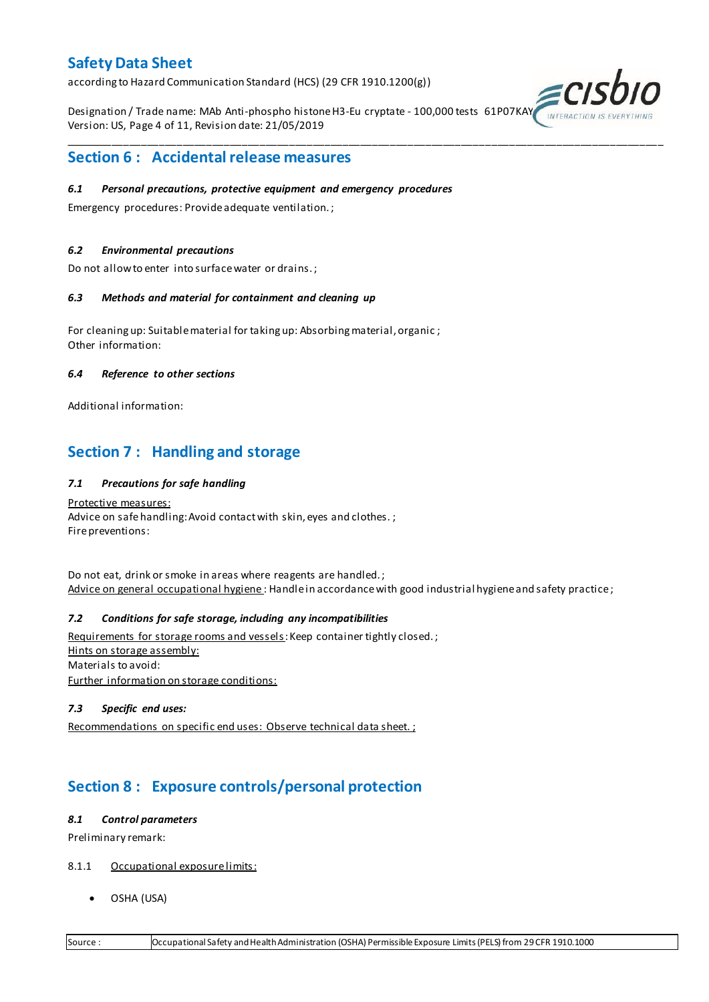according to Hazard Communication Standard (HCS) (29 CFR 1910.1200(g))

Designation / Trade name: MAb Anti-phospho histone H3-Eu cryptate - 100,000 tests 61P07KAY Version: US, Page 4 of 11, Revision date: 21/05/2019

\_\_\_\_\_\_\_\_\_\_\_\_\_\_\_\_\_\_\_\_\_\_\_\_\_\_\_\_\_\_\_\_\_\_\_\_\_\_\_\_\_\_\_\_\_\_\_\_\_\_\_\_\_\_\_\_\_\_\_\_\_\_\_\_\_\_\_\_\_\_\_\_\_\_\_\_\_\_\_\_\_\_\_\_\_\_\_\_\_\_\_\_\_\_\_\_\_\_\_\_\_



# **Section 6 : Accidental release measures**

#### *6.1 Personal precautions, protective equipment and emergency procedures*

Emergency procedures: Provide adequate ventilation. ;

### *6.2 Environmental precautions*

Do not allow to enter into surface water or drains. ;

#### *6.3 Methods and material for containment and cleaning up*

For cleaning up: Suitable material for taking up: Absorbing material, organic ; Other information:

#### *6.4 Reference to other sections*

Additional information:

# **Section 7 : Handling and storage**

# *7.1 Precautions for safe handling*

Protective measures: Advice on safe handling: Avoid contact with skin, eyes and clothes.; Fire preventions:

Do not eat, drink or smoke in areas where reagents are handled. ; Advice on general occupational hygiene: Handle in accordance with good industrial hygiene and safety practice;

# *7.2 Conditions for safe storage, including any incompatibilities*

Requirements for storage rooms and vessels: Keep container tightly closed.; Hints on storage assembly: Materials to avoid: Further information on storage conditions:

# *7.3 Specific end uses:*

Recommendations on specific end uses: Observe technical data sheet. ;

# **Section 8 : Exposure controls/personal protection**

#### *8.1 Control parameters*

Preliminary remark:

- 8.1.1 Occupational exposure limits:
	- OSHA (USA)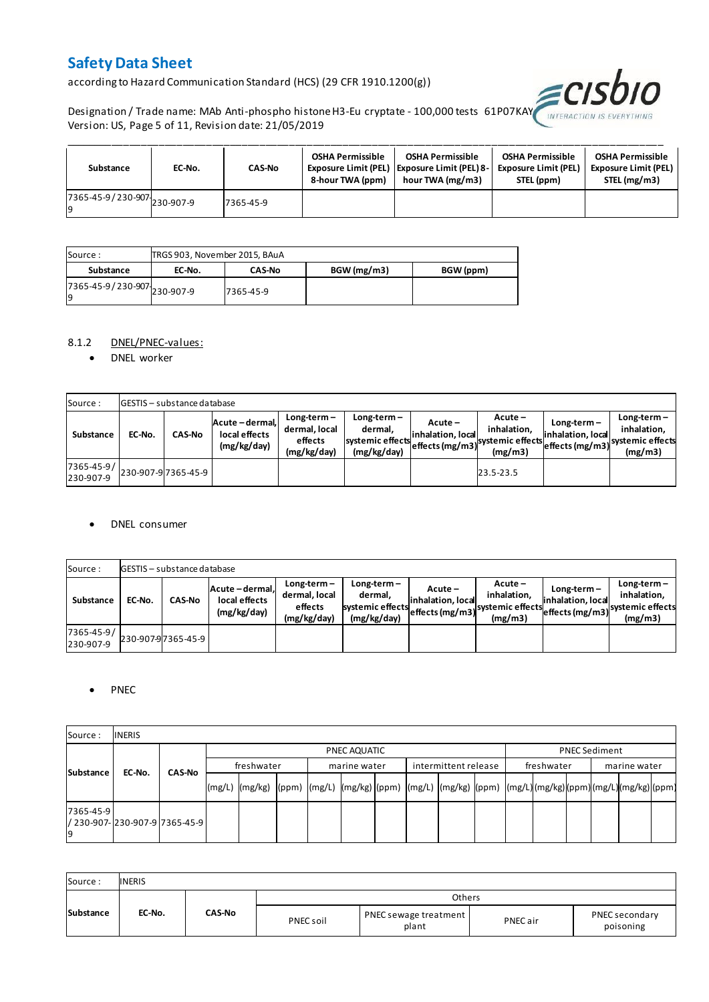according to Hazard Communication Standard (HCS) (29 CFR 1910.1200(g))



Designation / Trade name: MAb Anti-phospho histone H3-Eu cryptate - 100,000 tests 61P07KAY Version: US, Page 5 of 11, Revision date: 21/05/2019

| Substance                                  | EC-No. | <b>CAS-No</b> | <b>OSHA Permissible</b><br>8-hour TWA (ppm) | <b>OSHA Permissible</b><br>Exposure Limit (PEL)   Exposure Limit (PEL) 8-<br>hour TWA (mg/m3) | <b>OSHA Permissible</b><br><b>Exposure Limit (PEL)</b><br>STEL (ppm) | <b>OSHA Permissible</b><br><b>Exposure Limit (PEL)</b><br>STEL (mg/m3) |
|--------------------------------------------|--------|---------------|---------------------------------------------|-----------------------------------------------------------------------------------------------|----------------------------------------------------------------------|------------------------------------------------------------------------|
| r7365-45-9/230-907-230-907-9<br><b>l</b> q |        | 7365-45-9     |                                             |                                                                                               |                                                                      |                                                                        |

| Source :                           | TRGS 903, November 2015, BAuA |               |             |           |
|------------------------------------|-------------------------------|---------------|-------------|-----------|
| Substance                          | EC-No.                        | <b>CAS-No</b> | BGW (mg/m3) | BGW (ppm) |
| 7365-45-9 / 230-907 230-907-9<br>g |                               | 7365-45-9     |             |           |

# 8.1.2 DNEL/PNEC-values:

• DNEL worker

| Source:                 |        | <b>IGESTIS - substance database</b> |                                                 |                                                          |                                                           |                               |                                                                                                         |                                    |                                                                                            |
|-------------------------|--------|-------------------------------------|-------------------------------------------------|----------------------------------------------------------|-----------------------------------------------------------|-------------------------------|---------------------------------------------------------------------------------------------------------|------------------------------------|--------------------------------------------------------------------------------------------|
| Substance               | EC-No. | <b>CAS-No</b>                       | Acute - dermal,<br>local effects<br>(mg/kg/day) | $Long-term -$<br>dermal, local<br>effects<br>(mg/kg/day) | Long-term –<br>dermal.<br>systemic effects<br>(mg/kg/day) | Acute –<br>linhalation. local | $Acute -$<br>inhalation.<br><sup>~~~</sup> leffects (mg/m3) <sup>systemic effects</sup> la#~<br>(mg/m3) | $Long-term -$<br>inhalation. local | $Long-term -$<br>inhalation.<br>~~ leffects (mg/m3) <sup>systemic effects</sup><br>(mg/m3) |
| 7365-45-9/<br>230-907-9 |        | 230-907-97365-45-9                  |                                                 |                                                          |                                                           |                               | 23.5-23.5                                                                                               |                                    |                                                                                            |

#### DNEL consumer

| Source:                 |        | GESTIS - substance database |                                                 |                                                          |                                                             |                               |                                                                                  |                                    |                                         |
|-------------------------|--------|-----------------------------|-------------------------------------------------|----------------------------------------------------------|-------------------------------------------------------------|-------------------------------|----------------------------------------------------------------------------------|------------------------------------|-----------------------------------------|
| Substance               | EC-No. | <b>CAS-No</b>               | Acute - dermal.<br>local effects<br>(mg/kg/day) | $Long-term -$<br>dermal, local<br>effects<br>(mg/kg/day) | $Long-term -$<br>dermal,<br>systemic effects<br>(mg/kg/day) | Acute –<br>linhalation. local | $Acute -$<br>inhalation.<br>systemic effects (mg/m3) systemic effects<br>(mg/m3) | $Long-term -$<br>inhalation. local | $Long-term -$<br>inhalation.<br>(mg/m3) |
| 7365-45-9/<br>230-907-9 |        | 230-907-97365-45-9          |                                                 |                                                          |                                                             |                               |                                                                                  |                                    |                                         |

#### • PNEC

| Source:         | <b>INERIS</b>                  |               |        |                                                                                                          |  |  |              |  |                      |  |            |  |                      |  |  |  |  |
|-----------------|--------------------------------|---------------|--------|----------------------------------------------------------------------------------------------------------|--|--|--------------|--|----------------------|--|------------|--|----------------------|--|--|--|--|
|                 |                                |               |        | PNEC AQUATIC                                                                                             |  |  |              |  |                      |  |            |  | <b>PNEC Sediment</b> |  |  |  |  |
|                 | Substance<br>EC-No.            | <b>CAS-No</b> |        | freshwater                                                                                               |  |  | marine water |  | intermittent release |  | freshwater |  | marine water         |  |  |  |  |
|                 |                                |               | (mg/L) | mg/kg)  (ppm)  (mg/L)  (mg/kg)  (ppm)  (mg/L)  (mg/kg)  (ppm)  (mg/L) (mg/kg) (ppm) (mg/L) (mg/kg) (ppm) |  |  |              |  |                      |  |            |  |                      |  |  |  |  |
| 7365-45-9<br>19 | / 230-907- 230-907-9 7365-45-9 |               |        |                                                                                                          |  |  |              |  |                      |  |            |  |                      |  |  |  |  |

| Source:   | <b>INERIS</b> |        |           |                                |          |                             |
|-----------|---------------|--------|-----------|--------------------------------|----------|-----------------------------|
|           |               |        |           | <b>Others</b>                  |          |                             |
| Substance | EC-No.        | CAS-No | PNEC soil | PNEC sewage treatment<br>plant | PNEC air | PNEC secondary<br>poisoning |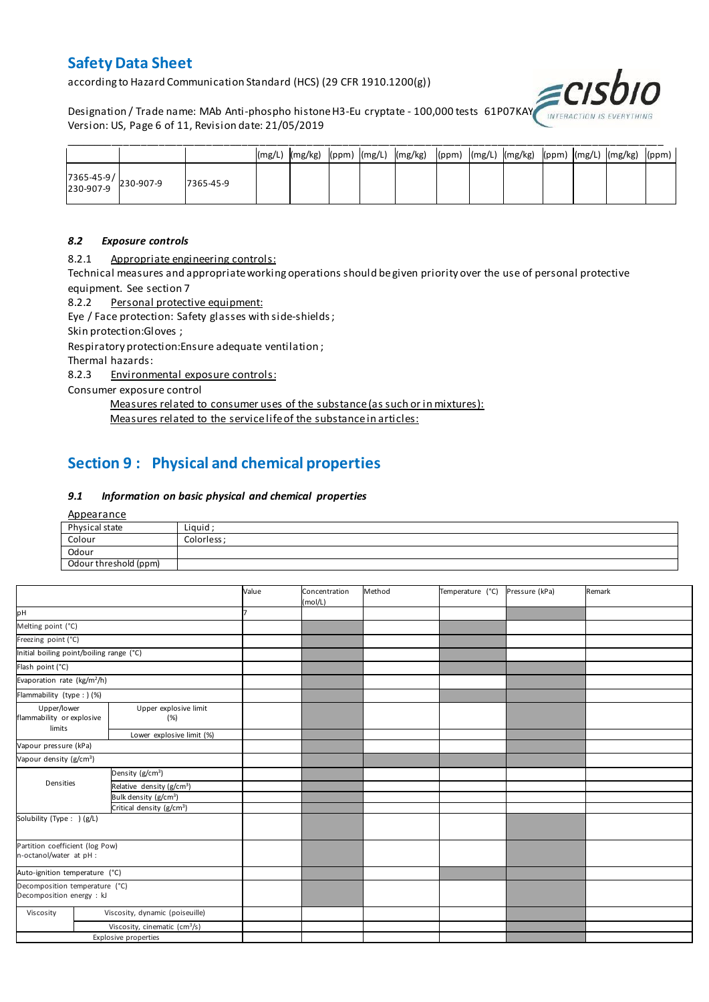according to Hazard Communication Standard (HCS) (29 CFR 1910.1200(g))

Designation / Trade name: MAb Anti-phospho histone H3-Eu cryptate - 100,000 tests 61P07KAY Version: US, Page 6 of 11, Revision date: 21/05/2019



|                                                                                       |           |  |  | (mg/L)  (mg/kg)  (ppm)  (mg/L)  (mg/kg)  (ppm)  (mg/L)  (mg/kg)  (ppm)  (mg/L)  (mg/kg)  (ppm) |  |  |  |  |
|---------------------------------------------------------------------------------------|-----------|--|--|------------------------------------------------------------------------------------------------|--|--|--|--|
| $\begin{array}{ c c c c }\n 7365-45-9 & & 230-907-9 \\ 230-907-9 & & & \n\end{array}$ | 7365-45-9 |  |  |                                                                                                |  |  |  |  |

#### *8.2 Exposure controls*

8.2.1 Appropriate engineering controls:

Technical measures and appropriate working operations should be given priority over the use of personal protective equipment. See section 7

8.2.2 Personal protective equipment:

Eye / Face protection: Safety glasses with side-shields ;

Skin protection:Gloves ;

Respiratory protection:Ensure adequate ventilation ;

Thermal hazards:

8.2.3 Environmental exposure controls:

Consumer exposure control

Measures related to consumer uses of the substance (as such or in mixtures):

Measures related to the service life of the substance in articles:

# **Section 9 : Physical and chemical properties**

### *9.1 Information on basic physical and chemical properties*

**Appearance** 

| Physical state        | Liguid      |
|-----------------------|-------------|
| Colour                | Colorless : |
| Odour                 |             |
| Odour threshold (ppm) |             |

|                                                             |  |                                           | Value | Concentration<br>(mol/L) | Method | Temperature (°C) | Pressure (kPa) | Remark |
|-------------------------------------------------------------|--|-------------------------------------------|-------|--------------------------|--------|------------------|----------------|--------|
| pН                                                          |  |                                           |       |                          |        |                  |                |        |
| Melting point (°C)                                          |  |                                           |       |                          |        |                  |                |        |
| Freezing point (°C)                                         |  |                                           |       |                          |        |                  |                |        |
| Initial boiling point/boiling range (°C)                    |  |                                           |       |                          |        |                  |                |        |
| Flash point (°C)                                            |  |                                           |       |                          |        |                  |                |        |
| Evaporation rate (kg/m <sup>2</sup> /h)                     |  |                                           |       |                          |        |                  |                |        |
| Flammability (type : ) (%)                                  |  |                                           |       |                          |        |                  |                |        |
| Upper/lower<br>flammability or explosive<br>limits          |  | Upper explosive limit<br>(%)              |       |                          |        |                  |                |        |
|                                                             |  | Lower explosive limit (%)                 |       |                          |        |                  |                |        |
| Vapour pressure (kPa)                                       |  |                                           |       |                          |        |                  |                |        |
| Vapour density (g/cm <sup>3</sup> )                         |  |                                           |       |                          |        |                  |                |        |
|                                                             |  | Density (g/cm <sup>3</sup> )              |       |                          |        |                  |                |        |
| Densities                                                   |  | Relative density (g/cm <sup>3</sup> )     |       |                          |        |                  |                |        |
|                                                             |  | Bulk density (g/cm <sup>3</sup> )         |       |                          |        |                  |                |        |
|                                                             |  | Critical density (g/cm <sup>3</sup> )     |       |                          |        |                  |                |        |
| Solubility (Type: ) (g/L)                                   |  |                                           |       |                          |        |                  |                |        |
| Partition coefficient (log Pow)<br>n-octanol/water at pH :  |  |                                           |       |                          |        |                  |                |        |
| Auto-ignition temperature (°C)                              |  |                                           |       |                          |        |                  |                |        |
| Decomposition temperature (°C)<br>Decomposition energy : kJ |  |                                           |       |                          |        |                  |                |        |
| Viscosity                                                   |  | Viscosity, dynamic (poiseuille)           |       |                          |        |                  |                |        |
|                                                             |  | Viscosity, cinematic (cm <sup>3</sup> /s) |       |                          |        |                  |                |        |
|                                                             |  | <b>Explosive properties</b>               |       |                          |        |                  |                |        |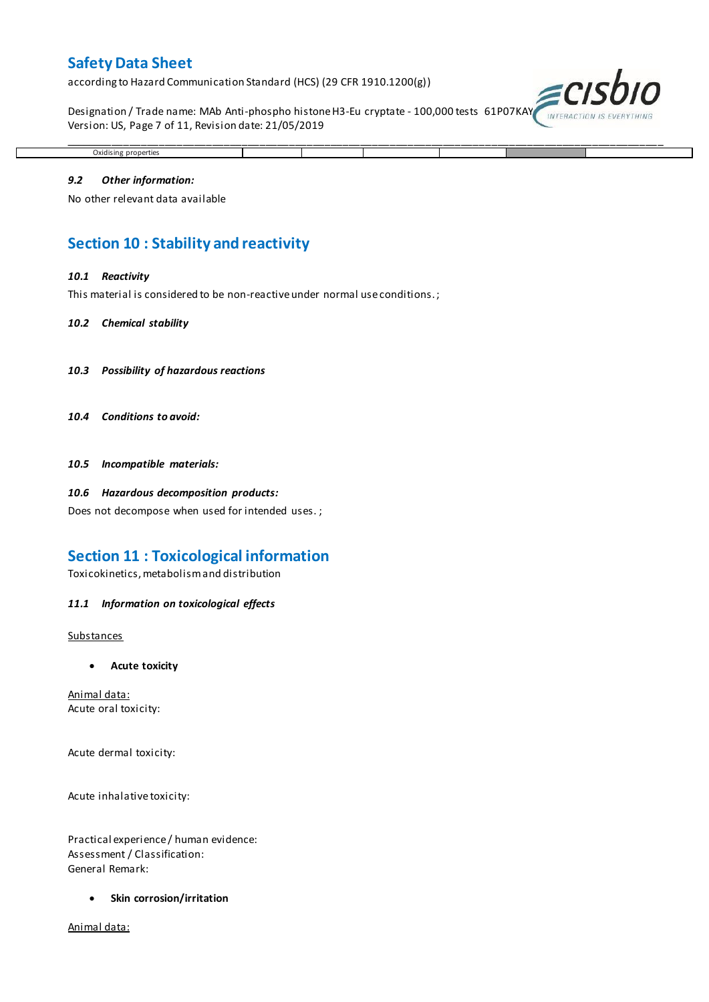according to Hazard Communication Standard (HCS) (29 CFR 1910.1200(g))

Designation / Trade name: MAb Anti-phospho histone H3-Eu cryptate - 100,000 tests 61P07KAY Version: US, Page 7 of 11, Revision date: 21/05/2019

\_\_\_\_\_\_\_\_\_\_\_\_\_\_\_\_\_\_\_\_\_\_\_\_\_\_\_\_\_\_\_\_\_\_\_\_\_\_\_\_\_\_\_\_\_\_\_\_\_\_\_\_\_\_\_\_\_\_\_\_\_\_\_\_\_\_\_\_\_\_\_\_\_\_\_\_\_\_\_\_\_\_\_\_\_\_\_\_\_\_\_\_\_\_\_\_\_\_\_\_\_



# *9.2 Other information:*

Oxidising properties

No other relevant data available

# **Section 10 : Stability and reactivity**

#### *10.1 Reactivity*

This material is considered to be non-reactive under normal use conditions. ;

#### *10.2 Chemical stability*

- *10.3 Possibility of hazardous reactions*
- *10.4 Conditions to avoid:*

*10.5 Incompatible materials:*

#### *10.6 Hazardous decomposition products:*

Does not decompose when used for intended uses. ;

# **Section 11 : Toxicological information**

Toxicokinetics, metabolism and distribution

#### *11.1 Information on toxicological effects*

#### **Substances**

**Acute toxicity**

Animal data: Acute oral toxicity:

Acute dermal toxicity:

Acute inhalative toxicity:

Practical experience / human evidence: Assessment / Classification: General Remark:

**Skin corrosion/irritation**

Animal data: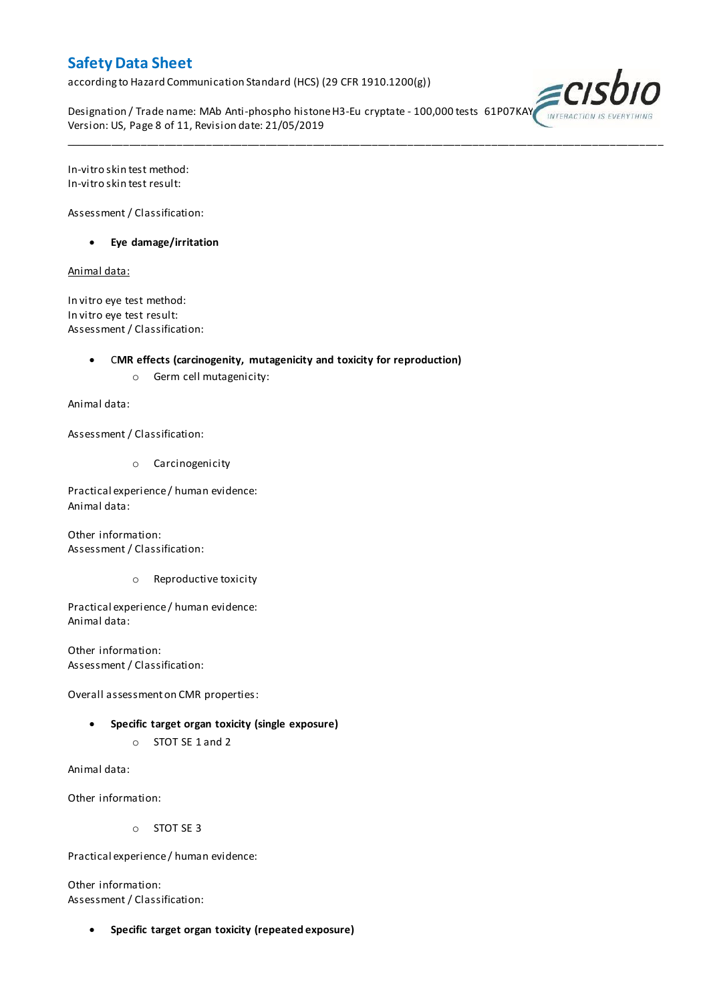according to Hazard Communication Standard (HCS) (29 CFR 1910.1200(g))

Designation / Trade name: MAb Anti-phospho histone H3-Eu cryptate - 100,000 tests 61P07KAY Version: US, Page 8 of 11, Revision date: 21/05/2019

\_\_\_\_\_\_\_\_\_\_\_\_\_\_\_\_\_\_\_\_\_\_\_\_\_\_\_\_\_\_\_\_\_\_\_\_\_\_\_\_\_\_\_\_\_\_\_\_\_\_\_\_\_\_\_\_\_\_\_\_\_\_\_\_\_\_\_\_\_\_\_\_\_\_\_\_\_\_\_\_\_\_\_\_\_\_\_\_\_\_\_\_\_\_\_\_\_\_\_\_\_



In-vitro skin test method: In-vitro skin test result:

Assessment / Classification:

**Eye damage/irritation**

Animal data:

In vitro eye test method: In vitro eye test result: Assessment / Classification:

C**MR effects (carcinogenity, mutagenicity and toxicity for reproduction)**

o Germ cell mutagenicity:

Animal data:

Assessment / Classification:

o Carcinogenicity

Practical experience / human evidence: Animal data:

Other information: Assessment / Classification:

o Reproductive toxicity

Practical experience / human evidence: Animal data:

Other information: Assessment / Classification:

Overall assessment on CMR properties:

- **Specific target organ toxicity (single exposure)**
	- o STOT SE 1 and 2

Animal data:

Other information:

o STOT SE 3

Practical experience / human evidence:

Other information: Assessment / Classification:

**Specific target organ toxicity (repeated exposure)**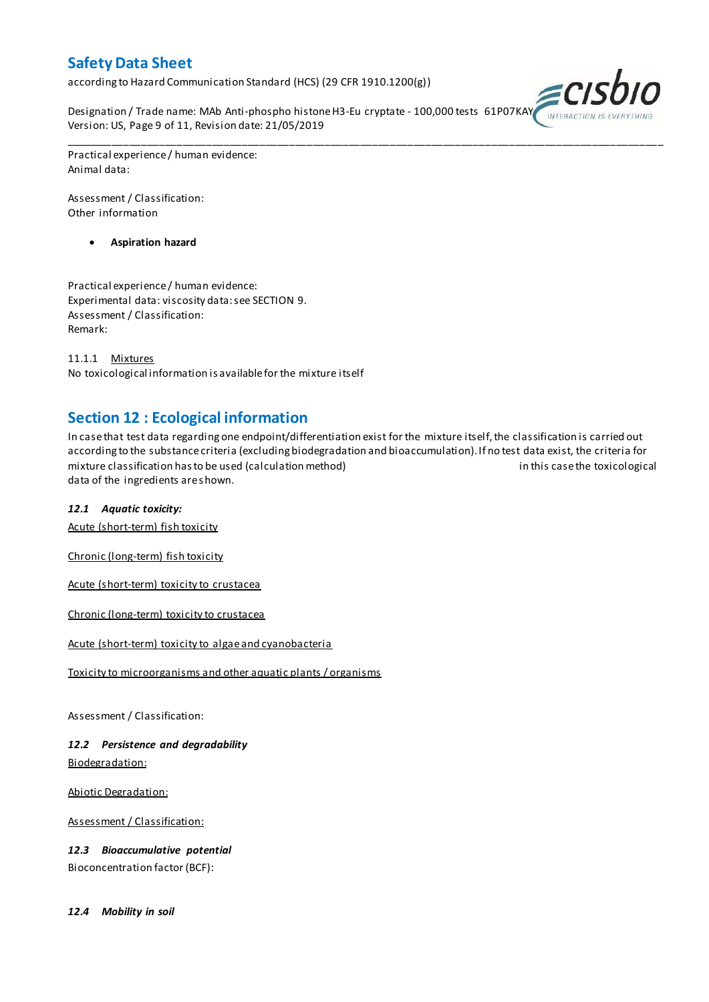according to Hazard Communication Standard (HCS) (29 CFR 1910.1200(g))

Designation / Trade name: MAb Anti-phospho histone H3-Eu cryptate - 100,000 tests 61P07KAY Version: US, Page 9 of 11, Revision date: 21/05/2019



Practical experience / human evidence: Animal data:

Assessment / Classification: Other information

**Aspiration hazard**

Practical experience / human evidence: Experimental data: viscosity data: see SECTION 9. Assessment / Classification: Remark:

11.1.1 Mixtures No toxicological information is available for the mixture itself

# **Section 12 : Ecological information**

In case that test data regarding one endpoint/differentiation exist for the mixture itself, the classification is carried out according to the substance criteria (excluding biodegradation and bioaccumulation). If no test data exist, the criteria for mixture classification has to be used (calculation method) in this case the toxicological data of the ingredients are shown.

\_\_\_\_\_\_\_\_\_\_\_\_\_\_\_\_\_\_\_\_\_\_\_\_\_\_\_\_\_\_\_\_\_\_\_\_\_\_\_\_\_\_\_\_\_\_\_\_\_\_\_\_\_\_\_\_\_\_\_\_\_\_\_\_\_\_\_\_\_\_\_\_\_\_\_\_\_\_\_\_\_\_\_\_\_\_\_\_\_\_\_\_\_\_\_\_\_\_\_\_\_

# *12.1 Aquatic toxicity:*

Acute (short-term) fish toxicity

Chronic (long-term) fish toxicity

Acute (short-term) toxicity to crustacea

Chronic (long-term) toxicity to crustacea

Acute (short-term) toxicity to algae and cyanobacteria

Toxicity to microorganisms and other aquatic plants / organisms

Assessment / Classification:

*12.2 Persistence and degradability* Biodegradation:

Abiotic Degradation:

Assessment / Classification:

*12.3 Bioaccumulative potential* Bioconcentration factor (BCF):

*12.4 Mobility in soil*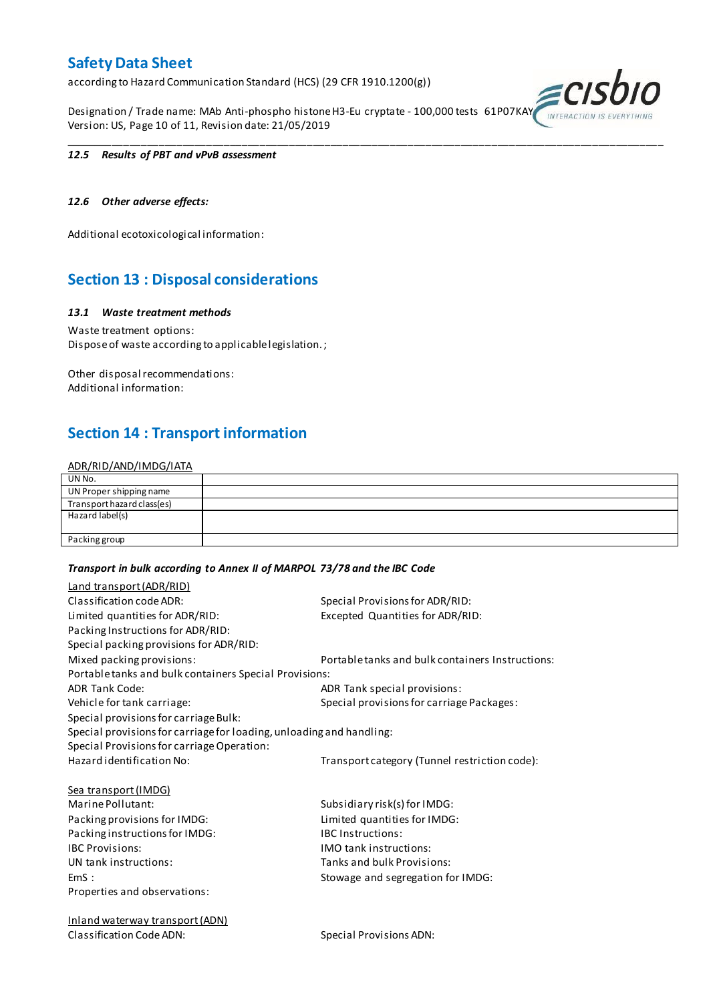according to Hazard Communication Standard (HCS) (29 CFR 1910.1200(g))

Designation / Trade name: MAb Anti-phospho histone H3-Eu cryptate - 100,000 tests 61P07KAY Version: US, Page 10 of 11, Revision date: 21/05/2019

\_\_\_\_\_\_\_\_\_\_\_\_\_\_\_\_\_\_\_\_\_\_\_\_\_\_\_\_\_\_\_\_\_\_\_\_\_\_\_\_\_\_\_\_\_\_\_\_\_\_\_\_\_\_\_\_\_\_\_\_\_\_\_\_\_\_\_\_\_\_\_\_\_\_\_\_\_\_\_\_\_\_\_\_\_\_\_\_\_\_\_\_\_\_\_\_\_\_\_\_\_



#### *12.5 Results of PBT and vPvB assessment*

# *12.6 Other adverse effects:*

Additional ecotoxicological information:

# **Section 13 : Disposal considerations**

### *13.1 Waste treatment methods*

Waste treatment options: Dispose of waste according to applicable legislation. ;

Other disposal recommendations: Additional information:

# **Section 14 : Transport information**

#### ADR/RID/AND/IMDG/IATA

| UN No.                     |  |
|----------------------------|--|
| UN Proper shipping name    |  |
| Transport hazard class(es) |  |
| Hazard label(s)            |  |
|                            |  |
| Packing group              |  |

#### *Transport in bulk according to Annex II of MARPOL 73/78 and the IBC Code*

| Land transport (ADR/RID)                                             |                                                  |
|----------------------------------------------------------------------|--------------------------------------------------|
| Classification code ADR:                                             | Special Provisions for ADR/RID:                  |
| Limited quantities for ADR/RID:                                      | Excepted Quantities for ADR/RID:                 |
| Packing Instructions for ADR/RID:                                    |                                                  |
| Special packing provisions for ADR/RID:                              |                                                  |
| Mixed packing provisions:                                            | Portable tanks and bulk containers Instructions: |
| Portable tanks and bulk containers Special Provisions:               |                                                  |
| <b>ADR Tank Code:</b>                                                | ADR Tank special provisions:                     |
| Vehicle for tank carriage:                                           | Special provisions for carriage Packages:        |
| Special provisions for carriage Bulk:                                |                                                  |
| Special provisions for carriage for loading, unloading and handling: |                                                  |
| Special Provisions for carriage Operation:                           |                                                  |
| Hazard identification No:                                            | Transport category (Tunnel restriction code):    |
| <b>Sea transport (IMDG)</b>                                          |                                                  |
| Marine Pollutant:                                                    | Subsidiary risk(s) for IMDG:                     |
| Packing provisions for IMDG:                                         | Limited quantities for IMDG:                     |
| Packing instructions for IMDG:                                       | <b>IBC Instructions:</b>                         |
| <b>IBC Provisions:</b>                                               | <b>IMO</b> tank instructions:                    |
| UN tank instructions:                                                | Tanks and bulk Provisions:                       |
| EmS:                                                                 | Stowage and segregation for IMDG:                |
| Properties and observations:                                         |                                                  |
| <b>Inland waterway transport (ADN)</b>                               |                                                  |
| Classification Code ADN:                                             | Special Provisions ADN:                          |